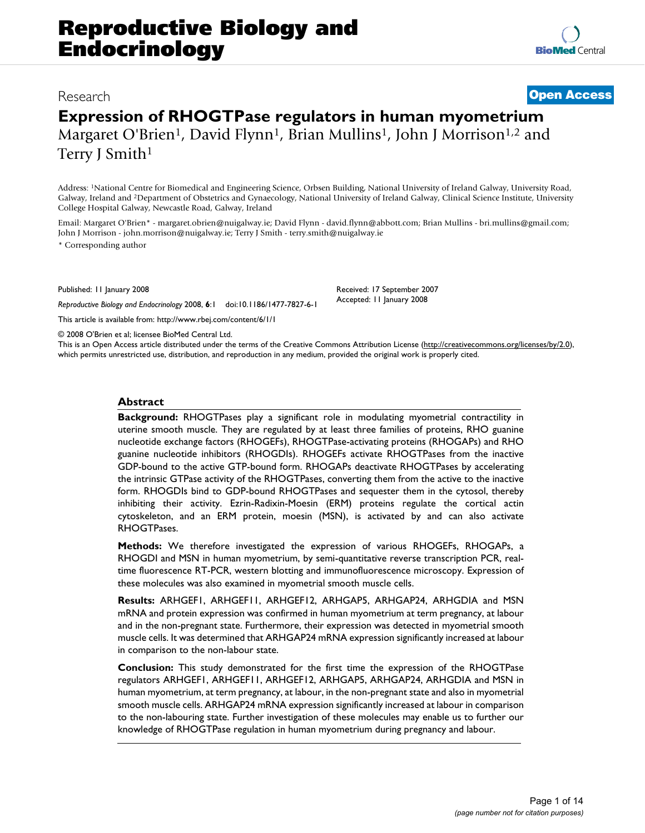**[BioMed](http://www.biomedcentral.com/)** Central

# **Expression of RHOGTPase regulators in human myometrium** Margaret O'Brien<sup>1</sup>, David Flynn<sup>1</sup>, Brian Mullins<sup>1</sup>, John J Morrison<sup>1,2</sup> and Terry J Smith<sup>1</sup>

Address: 1National Centre for Biomedical and Engineering Science, Orbsen Building, National University of Ireland Galway, University Road, Galway, Ireland and 2Department of Obstetrics and Gynaecology, National University of Ireland Galway, Clinical Science Institute, University College Hospital Galway, Newcastle Road, Galway, Ireland

Email: Margaret O'Brien\* - margaret.obrien@nuigalway.ie; David Flynn - david.flynn@abbott.com; Brian Mullins - bri.mullins@gmail.com; John J Morrison - john.morrison@nuigalway.ie; Terry J Smith - terry.smith@nuigalway.ie

\* Corresponding author

Published: 11 January 2008

*Reproductive Biology and Endocrinology* 2008, **6**:1 doi:10.1186/1477-7827-6-1 [This article is available from: http://www.rbej.com/content/6/1/1](http://www.rbej.com/content/6/1/1)

© 2008 O'Brien et al; licensee BioMed Central Ltd. This is an Open Access article distributed under the terms of the Creative Commons Attribution License [\(http://creativecommons.org/licenses/by/2.0\)](http://creativecommons.org/licenses/by/2.0), which permits unrestricted use, distribution, and reproduction in any medium, provided the original work is properly cited.

Received: 17 September 2007 Accepted: 11 January 2008

## **Abstract**

**Background:** RHOGTPases play a significant role in modulating myometrial contractility in uterine smooth muscle. They are regulated by at least three families of proteins, RHO guanine nucleotide exchange factors (RHOGEFs), RHOGTPase-activating proteins (RHOGAPs) and RHO guanine nucleotide inhibitors (RHOGDIs). RHOGEFs activate RHOGTPases from the inactive GDP-bound to the active GTP-bound form. RHOGAPs deactivate RHOGTPases by accelerating the intrinsic GTPase activity of the RHOGTPases, converting them from the active to the inactive form. RHOGDIs bind to GDP-bound RHOGTPases and sequester them in the cytosol, thereby inhibiting their activity. Ezrin-Radixin-Moesin (ERM) proteins regulate the cortical actin cytoskeleton, and an ERM protein, moesin (MSN), is activated by and can also activate RHOGTPases.

**Methods:** We therefore investigated the expression of various RHOGEFs, RHOGAPs, a RHOGDI and MSN in human myometrium, by semi-quantitative reverse transcription PCR, realtime fluorescence RT-PCR, western blotting and immunofluorescence microscopy. Expression of these molecules was also examined in myometrial smooth muscle cells.

**Results:** ARHGEF1, ARHGEF11, ARHGEF12, ARHGAP5, ARHGAP24, ARHGDIA and MSN mRNA and protein expression was confirmed in human myometrium at term pregnancy, at labour and in the non-pregnant state. Furthermore, their expression was detected in myometrial smooth muscle cells. It was determined that ARHGAP24 mRNA expression significantly increased at labour in comparison to the non-labour state.

**Conclusion:** This study demonstrated for the first time the expression of the RHOGTPase regulators ARHGEF1, ARHGEF11, ARHGEF12, ARHGAP5, ARHGAP24, ARHGDIA and MSN in human myometrium, at term pregnancy, at labour, in the non-pregnant state and also in myometrial smooth muscle cells. ARHGAP24 mRNA expression significantly increased at labour in comparison to the non-labouring state. Further investigation of these molecules may enable us to further our knowledge of RHOGTPase regulation in human myometrium during pregnancy and labour.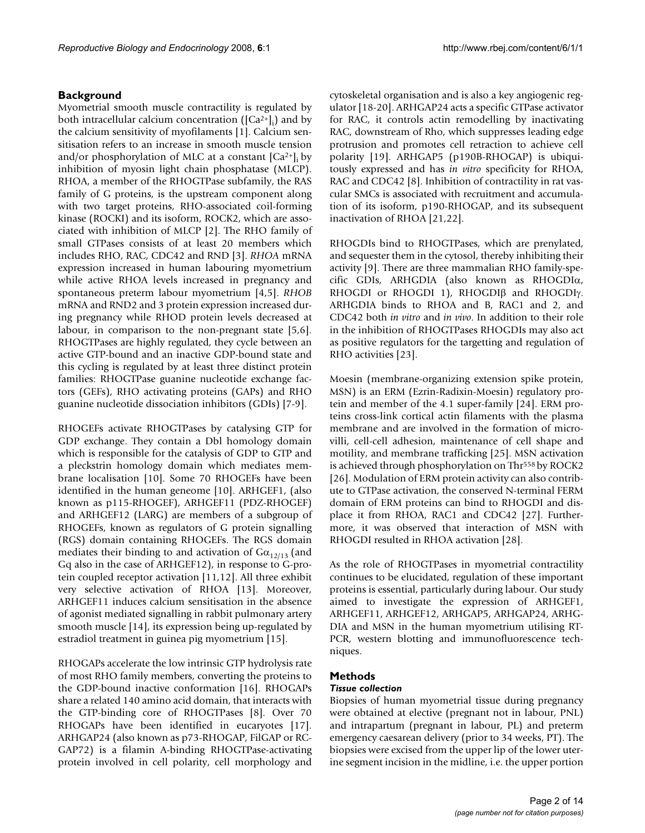# **Background**

Myometrial smooth muscle contractility is regulated by both intracellular calcium concentration  $([Ca^{2+}]_i)$  and by the calcium sensitivity of myofilaments [1]. Calcium sensitisation refers to an increase in smooth muscle tension and/or phosphorylation of MLC at a constant  $[Ca^{2+}]$ ; by inhibition of myosin light chain phosphatase (MLCP). RHOA, a member of the RHOGTPase subfamily, the RAS family of G proteins, is the upstream component along with two target proteins, RHO-associated coil-forming kinase (ROCKI) and its isoform, ROCK2, which are associated with inhibition of MLCP [2]. The RHO family of small GTPases consists of at least 20 members which includes RHO, RAC, CDC42 and RND [3]. *RHOA* mRNA expression increased in human labouring myometrium while active RHOA levels increased in pregnancy and spontaneous preterm labour myometrium [4,5]. *RHOB* mRNA and RND2 and 3 protein expression increased during pregnancy while RHOD protein levels decreased at labour, in comparison to the non-pregnant state [5,6]. RHOGTPases are highly regulated, they cycle between an active GTP-bound and an inactive GDP-bound state and this cycling is regulated by at least three distinct protein families: RHOGTPase guanine nucleotide exchange factors (GEFs), RHO activating proteins (GAPs) and RHO guanine nucleotide dissociation inhibitors (GDIs) [7-9].

RHOGEFs activate RHOGTPases by catalysing GTP for GDP exchange. They contain a Dbl homology domain which is responsible for the catalysis of GDP to GTP and a pleckstrin homology domain which mediates membrane localisation [10]. Some 70 RHOGEFs have been identified in the human geneome [10]. ARHGEF1, (also known as p115-RHOGEF), ARHGEF11 (PDZ-RHOGEF) and ARHGEF12 (LARG) are members of a subgroup of RHOGEFs, known as regulators of G protein signalling (RGS) domain containing RHOGEFs. The RGS domain mediates their binding to and activation of  $Ga_{12/13}$  (and Gq also in the case of ARHGEF12), in response to G-protein coupled receptor activation [11,12]. All three exhibit very selective activation of RHOA [13]. Moreover, ARHGEF11 induces calcium sensitisation in the absence of agonist mediated signalling in rabbit pulmonary artery smooth muscle [14], its expression being up-regulated by estradiol treatment in guinea pig myometrium [15].

RHOGAPs accelerate the low intrinsic GTP hydrolysis rate of most RHO family members, converting the proteins to the GDP-bound inactive conformation [16]. RHOGAPs share a related 140 amino acid domain, that interacts with the GTP-binding core of RHOGTPases [8]. Over 70 RHOGAPs have been identified in eucaryotes [17]. ARHGAP24 (also known as p73-RHOGAP, FilGAP or RC-GAP72) is a filamin A-binding RHOGTPase-activating protein involved in cell polarity, cell morphology and

cytoskeletal organisation and is also a key angiogenic regulator [18-20]. ARHGAP24 acts a specific GTPase activator for RAC, it controls actin remodelling by inactivating RAC, downstream of Rho, which suppresses leading edge protrusion and promotes cell retraction to achieve cell polarity [19]. ARHGAP5 (p190B-RHOGAP) is ubiquitously expressed and has *in vitro* specificity for RHOA, RAC and CDC42 [8]. Inhibition of contractility in rat vascular SMCs is associated with recruitment and accumulation of its isoform, p190-RHOGAP, and its subsequent inactivation of RHOA [21,22].

RHOGDIs bind to RHOGTPases, which are prenylated, and sequester them in the cytosol, thereby inhibiting their activity [9]. There are three mammalian RHO family-specific GDIs, ARHGDIA (also known as RHOGDIα, RHOGDI or RHOGDI 1), RHOGDIβ and RHOGDIγ. ARHGDIA binds to RHOA and B, RAC1 and 2, and CDC42 both *in vitro* and *in vivo*. In addition to their role in the inhibition of RHOGTPases RHOGDIs may also act as positive regulators for the targetting and regulation of RHO activities [23].

Moesin (membrane-organizing extension spike protein, MSN) is an ERM (Ezrin-Radixin-Moesin) regulatory protein and member of the 4.1 super-family [24]. ERM proteins cross-link cortical actin filaments with the plasma membrane and are involved in the formation of microvilli, cell-cell adhesion, maintenance of cell shape and motility, and membrane trafficking [25]. MSN activation is achieved through phosphorylation on Thr<sup>558</sup> by ROCK2 [26]. Modulation of ERM protein activity can also contribute to GTPase activation, the conserved N-terminal FERM domain of ERM proteins can bind to RHOGDI and displace it from RHOA, RAC1 and CDC42 [27]. Furthermore, it was observed that interaction of MSN with RHOGDI resulted in RHOA activation [28].

As the role of RHOGTPases in myometrial contractility continues to be elucidated, regulation of these important proteins is essential, particularly during labour. Our study aimed to investigate the expression of ARHGEF1, ARHGEF11, ARHGEF12, ARHGAP5, ARHGAP24, ARHG-DIA and MSN in the human myometrium utilising RT-PCR, western blotting and immunofluorescence techniques.

# **Methods**

# *Tissue collection*

Biopsies of human myometrial tissue during pregnancy were obtained at elective (pregnant not in labour, PNL) and intrapartum (pregnant in labour, PL) and preterm emergency caesarean delivery (prior to 34 weeks, PT). The biopsies were excised from the upper lip of the lower uterine segment incision in the midline, i.e. the upper portion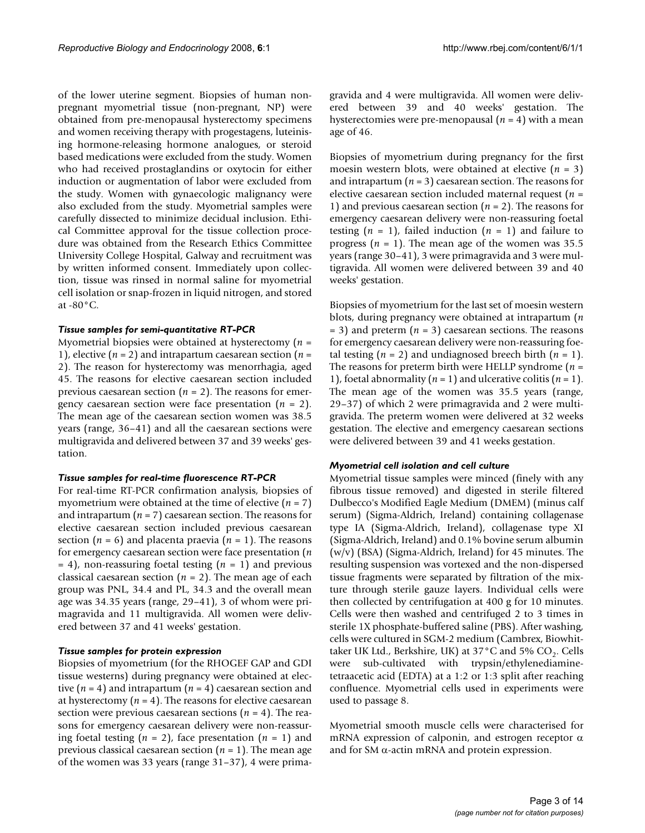of the lower uterine segment. Biopsies of human nonpregnant myometrial tissue (non-pregnant, NP) were obtained from pre-menopausal hysterectomy specimens and women receiving therapy with progestagens, luteinising hormone-releasing hormone analogues, or steroid based medications were excluded from the study. Women who had received prostaglandins or oxytocin for either induction or augmentation of labor were excluded from the study. Women with gynaecologic malignancy were also excluded from the study. Myometrial samples were carefully dissected to minimize decidual inclusion. Ethical Committee approval for the tissue collection procedure was obtained from the Research Ethics Committee University College Hospital, Galway and recruitment was by written informed consent. Immediately upon collection, tissue was rinsed in normal saline for myometrial cell isolation or snap-frozen in liquid nitrogen, and stored at -80°C.

#### *Tissue samples for semi-quantitative RT-PCR*

Myometrial biopsies were obtained at hysterectomy (*n* = 1), elective (*n* = 2) and intrapartum caesarean section (*n* = 2). The reason for hysterectomy was menorrhagia, aged 45. The reasons for elective caesarean section included previous caesarean section (*n* = 2). The reasons for emergency caesarean section were face presentation (*n* = 2). The mean age of the caesarean section women was 38.5 years (range, 36–41) and all the caesarean sections were multigravida and delivered between 37 and 39 weeks' gestation.

#### *Tissue samples for real-time fluorescence RT-PCR*

For real-time RT-PCR confirmation analysis, biopsies of myometrium were obtained at the time of elective (*n* = 7) and intrapartum (*n* = 7) caesarean section. The reasons for elective caesarean section included previous caesarean section (*n* = 6) and placenta praevia (*n* = 1). The reasons for emergency caesarean section were face presentation (*n* = 4), non-reassuring foetal testing (*n* = 1) and previous classical caesarean section (*n* = 2). The mean age of each group was PNL, 34.4 and PL, 34.3 and the overall mean age was 34.35 years (range, 29–41), 3 of whom were primagravida and 11 multigravida. All women were delivered between 37 and 41 weeks' gestation.

#### *Tissue samples for protein expression*

Biopsies of myometrium (for the RHOGEF GAP and GDI tissue westerns) during pregnancy were obtained at elective (*n* = 4) and intrapartum (*n* = 4) caesarean section and at hysterectomy  $(n = 4)$ . The reasons for elective caesarean section were previous caesarean sections (*n* = 4). The reasons for emergency caesarean delivery were non-reassuring foetal testing  $(n = 2)$ , face presentation  $(n = 1)$  and previous classical caesarean section (*n* = 1). The mean age of the women was 33 years (range 31–37), 4 were primagravida and 4 were multigravida. All women were delivered between 39 and 40 weeks' gestation. The hysterectomies were pre-menopausal (*n* = 4) with a mean age of 46.

Biopsies of myometrium during pregnancy for the first moesin western blots, were obtained at elective (*n* = 3) and intrapartum  $(n = 3)$  caesarean section. The reasons for elective caesarean section included maternal request (*n* = 1) and previous caesarean section (*n* = 2). The reasons for emergency caesarean delivery were non-reassuring foetal testing  $(n = 1)$ , failed induction  $(n = 1)$  and failure to progress  $(n = 1)$ . The mean age of the women was 35.5 years (range 30–41), 3 were primagravida and 3 were multigravida. All women were delivered between 39 and 40 weeks' gestation.

Biopsies of myometrium for the last set of moesin western blots, during pregnancy were obtained at intrapartum (*n*  $= 3$ ) and preterm ( $n = 3$ ) caesarean sections. The reasons for emergency caesarean delivery were non-reassuring foetal testing  $(n = 2)$  and undiagnosed breech birth  $(n = 1)$ . The reasons for preterm birth were HELLP syndrome (*n* = 1), foetal abnormality  $(n = 1)$  and ulcerative colitis  $(n = 1)$ . The mean age of the women was 35.5 years (range, 29–37) of which 2 were primagravida and 2 were multigravida. The preterm women were delivered at 32 weeks gestation. The elective and emergency caesarean sections were delivered between 39 and 41 weeks gestation.

## *Myometrial cell isolation and cell culture*

Myometrial tissue samples were minced (finely with any fibrous tissue removed) and digested in sterile filtered Dulbecco's Modified Eagle Medium (DMEM) (minus calf serum) (Sigma-Aldrich, Ireland) containing collagenase type IA (Sigma-Aldrich, Ireland), collagenase type XI (Sigma-Aldrich, Ireland) and 0.1% bovine serum albumin (w/v) (BSA) (Sigma-Aldrich, Ireland) for 45 minutes. The resulting suspension was vortexed and the non-dispersed tissue fragments were separated by filtration of the mixture through sterile gauze layers. Individual cells were then collected by centrifugation at 400 g for 10 minutes. Cells were then washed and centrifuged 2 to 3 times in sterile 1X phosphate-buffered saline (PBS). After washing, cells were cultured in SGM-2 medium (Cambrex, Biowhittaker UK Ltd., Berkshire, UK) at  $37^{\circ}$ C and  $5\%$  CO<sub>2</sub>. Cells were sub-cultivated with trypsin/ethylenediaminetetraacetic acid (EDTA) at a 1:2 or 1:3 split after reaching confluence. Myometrial cells used in experiments were used to passage 8.

Myometrial smooth muscle cells were characterised for mRNA expression of calponin, and estrogen receptor  $\alpha$ and for SM  $\alpha$ -actin mRNA and protein expression.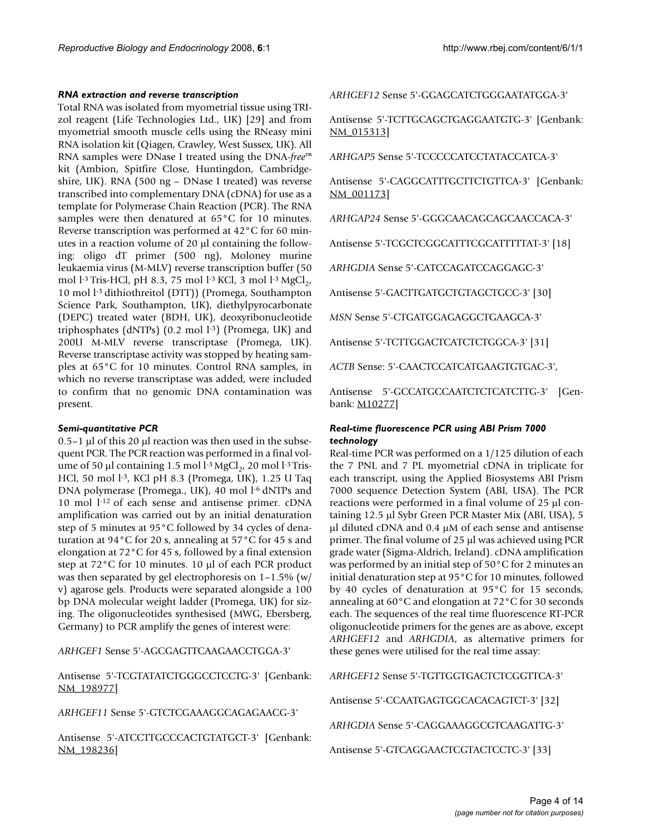#### *RNA extraction and reverse transcription*

Total RNA was isolated from myometrial tissue using TRIzol reagent (Life Technologies Ltd., UK) [29] and from myometrial smooth muscle cells using the RNeasy mini RNA isolation kit (Qiagen, Crawley, West Sussex, UK). All RNA samples were DNase I treated using the DNA-*free*™ kit (Ambion, Spitfire Close, Huntingdon, Cambridgeshire, UK). RNA (500 ng – DNase I treated) was reverse transcribed into complementary DNA (cDNA) for use as a template for Polymerase Chain Reaction (PCR). The RNA samples were then denatured at 65°C for 10 minutes. Reverse transcription was performed at 42°C for 60 minutes in a reaction volume of 20 μl containing the following: oligo dT primer (500 ng), Moloney murine leukaemia virus (M-MLV) reverse transcription buffer (50 mol l<sup>-3</sup> Tris-HCl, pH 8.3, 75 mol l<sup>-3</sup> KCl, 3 mol l<sup>-3</sup> MgCl<sub>2</sub>, 10 mol l-3 dithiothreitol (DTT)) (Promega, Southampton Science Park, Southampton, UK), diethylpyrocarbonate (DEPC) treated water (BDH, UK), deoxyribonucleotide triphosphates (dNTPs)  $(0.2 \text{ mol } l^{-3})$  (Promega, UK) and 200U M-MLV reverse transcriptase (Promega, UK). Reverse transcriptase activity was stopped by heating samples at 65°C for 10 minutes. Control RNA samples, in which no reverse transcriptase was added, were included to confirm that no genomic DNA contamination was present.

## *Semi-quantitative PCR*

0.5–1 μl of this 20 μl reaction was then used in the subsequent PCR. The PCR reaction was performed in a final volume of 50 μl containing 1.5 mol  $\frac{1}{3}$  MgCl<sub>2</sub>, 20 mol l<sup>-3</sup> Tris-HCl, 50 mol l<sup>-3</sup>, KCl pH 8.3 (Promega, UK), 1.25 U Taq DNA polymerase (Promega., UK), 40 mol l<sup>-6</sup> dNTPs and 10 mol l-12 of each sense and antisense primer. cDNA amplification was carried out by an initial denaturation step of 5 minutes at 95°C followed by 34 cycles of denaturation at 94°C for 20 s, annealing at 57°C for 45 s and elongation at 72°C for 45 s, followed by a final extension step at 72°C for 10 minutes. 10 μl of each PCR product was then separated by gel electrophoresis on  $1-1.5\%$  (w/ v) agarose gels. Products were separated alongside a 100 bp DNA molecular weight ladder (Promega, UK) for sizing. The oligonucleotides synthesised (MWG, Ebersberg, Germany) to PCR amplify the genes of interest were:

*ARHGEF1* Sense 5'-AGCGAGTTCAAGAACCTGGA-3'

Antisense 5'-TCGTATATCTGGGCCTCCTG-3' [Genbank: [NM\\_198977\]](http://www.ncbi.nih.gov/entrez/query.fcgi?db=Nucleotide&cmd=search&term=NM_198977)

*ARHGEF11* Sense 5'-GTCTCGAAAGGCAGAGAACG-3'

Antisense 5'-ATCCTTGCCCACTGTATGCT-3' [Genbank: [NM\\_198236\]](http://www.ncbi.nih.gov/entrez/query.fcgi?db=Nucleotide&cmd=search&term=NM_198236)

*ARHGEF12* Sense 5'-GGAGCATCTGGGAATATGGA-3'

Antisense 5'-TCTTGCAGCTGAGGAATGTG-3' [Genbank: [NM\\_015313\]](http://www.ncbi.nih.gov/entrez/query.fcgi?db=Nucleotide&cmd=search&term=NM_015313)

*ARHGAP5* Sense 5'-TCCCCCATCCTATACCATCA-3'

Antisense 5'-CAGGCATTTGCTTCTGTTCA-3' [Genbank: [NM\\_001173\]](http://www.ncbi.nih.gov/entrez/query.fcgi?db=Nucleotide&cmd=search&term=NM_001173)

*ARHGAP24* Sense 5'-GGGCAACAGCAGCAACCACA-3'

Antisense 5'-TCGCTCGGCATTTCGCATTTTTAT-3' [18]

*ARHGDIA* Sense 5'-CATCCAGATCCAGGAGC-3'

Antisense 5'-GACTTGATGCTGTAGCTGCC-3' [30]

*MSN* Sense 5'-CTGATGGAGAGGCTGAAGCA-3'

Antisense 5'-TCTTGGACTCATCTCTGGCA-3' [31]

*ACTB* Sense: 5'-CAACTCCATCATGAAGTGTGAC-3',

Antisense 5'-GCCATGCCAATCTCTCATCTTG-3' [Genbank: [M10277\]](http://www.ncbi.nih.gov/entrez/query.fcgi?db=Nucleotide&cmd=search&term=M10277)

# *Real-time fluorescence PCR using ABI Prism 7000 technology*

Real-time PCR was performed on a 1/125 dilution of each the 7 PNL and 7 PL myometrial cDNA in triplicate for each transcript, using the Applied Biosystems ABI Prism 7000 sequence Detection System (ABI, USA). The PCR reactions were performed in a final volume of 25 μl containing 12.5 μl Sybr Green PCR Master Mix (ABI, USA), 5 μl diluted cDNA and 0.4 μM of each sense and antisense primer. The final volume of 25 μl was achieved using PCR grade water (Sigma-Aldrich, Ireland). cDNA amplification was performed by an initial step of 50°C for 2 minutes an initial denaturation step at 95°C for 10 minutes, followed by 40 cycles of denaturation at 95°C for 15 seconds, annealing at 60°C and elongation at 72°C for 30 seconds each. The sequences of the real time fluorescence RT-PCR oligonucleotide primers for the genes are as above, except *ARHGEF12* and *ARHGDIA*, as alternative primers for these genes were utilised for the real time assay:

*ARHGEF12* Sense 5'-TGTTGGTGACTCTCGGTTCA-3'

Antisense 5'-CCAATGAGTGGCACACAGTCT-3' [32]

*ARHGDIA* Sense 5'-CAGGAAAGGCGTCAAGATTG-3'

Antisense 5'-GTCAGGAACTCGTACTCCTC-3' [33]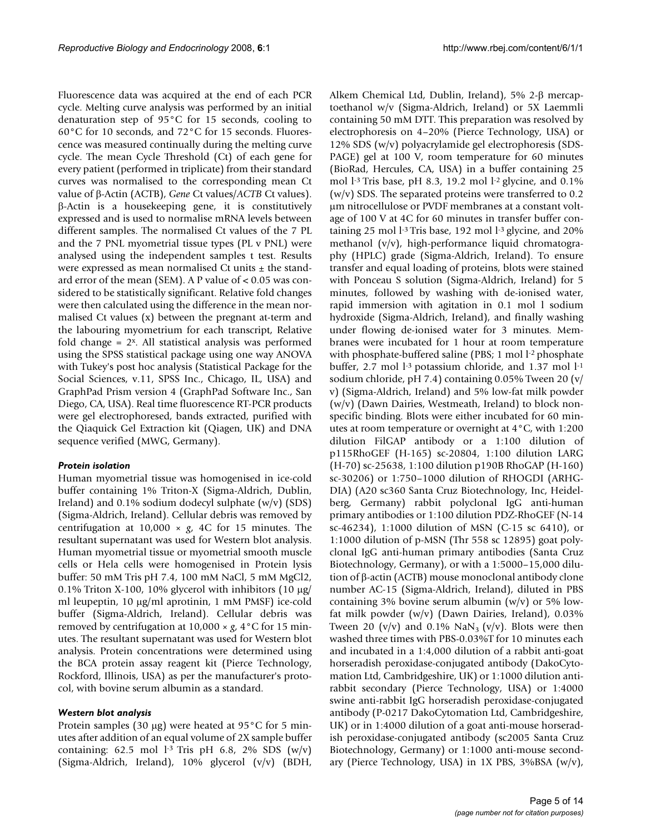Fluorescence data was acquired at the end of each PCR cycle. Melting curve analysis was performed by an initial denaturation step of 95°C for 15 seconds, cooling to 60°C for 10 seconds, and 72°C for 15 seconds. Fluorescence was measured continually during the melting curve cycle. The mean Cycle Threshold (Ct) of each gene for every patient (performed in triplicate) from their standard curves was normalised to the corresponding mean Ct value of β-Actin (ACTB), *Gene* Ct values/*ACTB* Ct values). β-Actin is a housekeeping gene, it is constitutively expressed and is used to normalise mRNA levels between different samples. The normalised Ct values of the 7 PL and the 7 PNL myometrial tissue types (PL v PNL) were analysed using the independent samples t test. Results were expressed as mean normalised Ct units  $\pm$  the standard error of the mean (SEM). A P value of < 0.05 was considered to be statistically significant. Relative fold changes were then calculated using the difference in the mean normalised Ct values (x) between the pregnant at-term and the labouring myometrium for each transcript, Relative fold change = 2x. All statistical analysis was performed using the SPSS statistical package using one way ANOVA with Tukey's post hoc analysis (Statistical Package for the Social Sciences, v.11, SPSS Inc., Chicago, IL, USA) and GraphPad Prism version 4 (GraphPad Software Inc., San Diego, CA, USA). Real time fluorescence RT-PCR products were gel electrophoresed, bands extracted, purified with the Qiaquick Gel Extraction kit (Qiagen, UK) and DNA sequence verified (MWG, Germany).

# *Protein isolation*

Human myometrial tissue was homogenised in ice-cold buffer containing 1% Triton-X (Sigma-Aldrich, Dublin, Ireland) and 0.1% sodium dodecyl sulphate (w/v) (SDS) (Sigma-Aldrich, Ireland). Cellular debris was removed by centrifugation at  $10,000 \times g$ , 4C for 15 minutes. The resultant supernatant was used for Western blot analysis. Human myometrial tissue or myometrial smooth muscle cells or Hela cells were homogenised in Protein lysis buffer: 50 mM Tris pH 7.4, 100 mM NaCl, 5 mM MgCl2, 0.1% Triton X-100, 10% glycerol with inhibitors (10 μg/ ml leupeptin, 10 μg/ml aprotinin, 1 mM PMSF) ice-cold buffer (Sigma-Aldrich, Ireland). Cellular debris was removed by centrifugation at  $10,000 \times g$ ,  $4^{\circ}$ C for 15 minutes. The resultant supernatant was used for Western blot analysis. Protein concentrations were determined using the BCA protein assay reagent kit (Pierce Technology, Rockford, Illinois, USA) as per the manufacturer's protocol, with bovine serum albumin as a standard.

# *Western blot analysis*

Protein samples (30 μg) were heated at 95°C for 5 minutes after addition of an equal volume of 2X sample buffer containing: 62.5 mol  $1-3$  Tris pH 6.8, 2% SDS (w/v) (Sigma-Aldrich, Ireland), 10% glycerol (v/v) (BDH,

Alkem Chemical Ltd, Dublin, Ireland), 5% 2-β mercaptoethanol w/v (Sigma-Aldrich, Ireland) or 5X Laemmli containing 50 mM DTT. This preparation was resolved by electrophoresis on 4–20% (Pierce Technology, USA) or 12% SDS (w/v) polyacrylamide gel electrophoresis (SDS-PAGE) gel at 100 V, room temperature for 60 minutes (BioRad, Hercules, CA, USA) in a buffer containing 25 mol l-3 Tris base, pH 8.3, 19.2 mol l-2 glycine, and 0.1%  $(w/v)$  SDS. The separated proteins were transferred to 0.2 μm nitrocellulose or PVDF membranes at a constant voltage of 100 V at 4C for 60 minutes in transfer buffer containing 25 mol l<sup>-3</sup> Tris base, 192 mol l<sup>-3</sup> glycine, and 20% methanol (v/v), high-performance liquid chromatography (HPLC) grade (Sigma-Aldrich, Ireland). To ensure transfer and equal loading of proteins, blots were stained with Ponceau S solution (Sigma-Aldrich, Ireland) for 5 minutes, followed by washing with de-ionised water, rapid immersion with agitation in 0.1 mol l sodium hydroxide (Sigma-Aldrich, Ireland), and finally washing under flowing de-ionised water for 3 minutes. Membranes were incubated for 1 hour at room temperature with phosphate-buffered saline (PBS; 1 mol l<sup>-2</sup> phosphate buffer, 2.7 mol  $l<sup>-3</sup>$  potassium chloride, and 1.37 mol  $l<sup>-1</sup>$ sodium chloride, pH 7.4) containing 0.05% Tween 20 (v/ v) (Sigma-Aldrich, Ireland) and 5% low-fat milk powder (w/v) (Dawn Dairies, Westmeath, Ireland) to block nonspecific binding. Blots were either incubated for 60 minutes at room temperature or overnight at 4°C, with 1:200 dilution FilGAP antibody or a 1:100 dilution of p115RhoGEF (H-165) sc-20804, 1:100 dilution LARG (H-70) sc-25638, 1:100 dilution p190B RhoGAP (H-160) sc-30206) or 1:750–1000 dilution of RHOGDI (ARHG-DIA) (A20 sc360 Santa Cruz Biotechnology, Inc, Heidelberg, Germany) rabbit polyclonal IgG anti-human primary antibodies or 1:100 dilution PDZ-RhoGEF (N-14 sc-46234), 1:1000 dilution of MSN (C-15 sc 6410), or 1:1000 dilution of p-MSN (Thr 558 sc 12895) goat polyclonal IgG anti-human primary antibodies (Santa Cruz Biotechnology, Germany), or with a 1:5000–15,000 dilution of β-actin (ACTB) mouse monoclonal antibody clone number AC-15 (Sigma-Aldrich, Ireland), diluted in PBS containing 3% bovine serum albumin  $(w/v)$  or 5% lowfat milk powder (w/v) (Dawn Dairies, Ireland), 0.03% Tween 20 (v/v) and 0.1% NaN<sub>3</sub> (v/v). Blots were then washed three times with PBS-0.03%T for 10 minutes each and incubated in a 1:4,000 dilution of a rabbit anti-goat horseradish peroxidase-conjugated antibody (DakoCytomation Ltd, Cambridgeshire, UK) or 1:1000 dilution antirabbit secondary (Pierce Technology, USA) or 1:4000 swine anti-rabbit IgG horseradish peroxidase-conjugated antibody (P-0217 DakoCytomation Ltd, Cambridgeshire, UK) or in 1:4000 dilution of a goat anti-mouse horseradish peroxidase-conjugated antibody (sc2005 Santa Cruz Biotechnology, Germany) or 1:1000 anti-mouse secondary (Pierce Technology, USA) in 1X PBS, 3%BSA (w/v),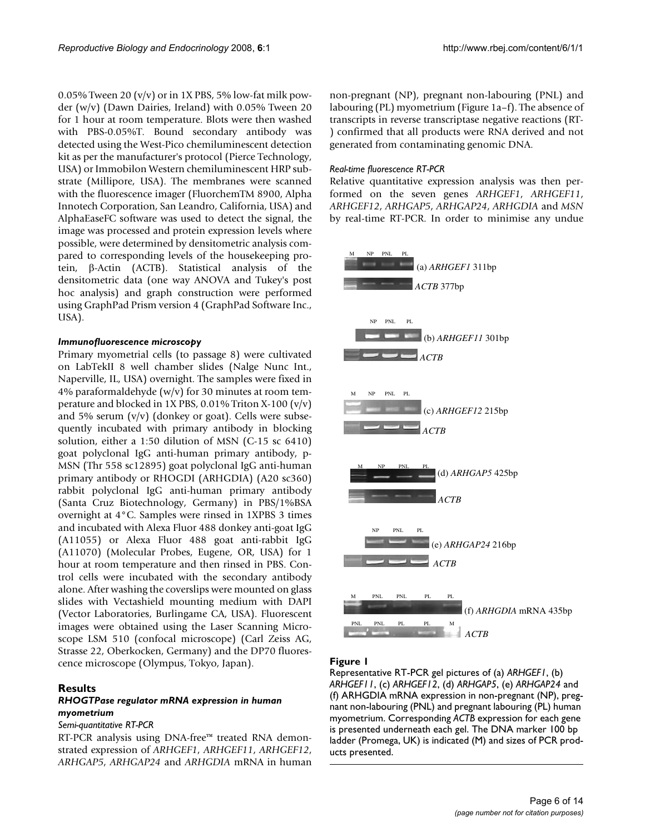0.05% Tween 20 ( $v/v$ ) or in 1X PBS, 5% low-fat milk powder (w/v) (Dawn Dairies, Ireland) with 0.05% Tween 20 for 1 hour at room temperature. Blots were then washed with PBS-0.05%T. Bound secondary antibody was detected using the West-Pico chemiluminescent detection kit as per the manufacturer's protocol (Pierce Technology, USA) or Immobilon Western chemiluminescent HRP substrate (Millipore, USA). The membranes were scanned with the fluorescence imager (FluorchemTM 8900, Alpha Innotech Corporation, San Leandro, California, USA) and AlphaEaseFC software was used to detect the signal, the image was processed and protein expression levels where possible, were determined by densitometric analysis compared to corresponding levels of the housekeeping protein, β-Actin (ACTB). Statistical analysis of the densitometric data (one way ANOVA and Tukey's post hoc analysis) and graph construction were performed using GraphPad Prism version 4 (GraphPad Software Inc., USA).

## *Immunofluorescence microscopy*

Primary myometrial cells (to passage 8) were cultivated on LabTekII 8 well chamber slides (Nalge Nunc Int., Naperville, IL, USA) overnight. The samples were fixed in 4% paraformaldehyde (w/v) for 30 minutes at room temperature and blocked in 1X PBS, 0.01% Triton X-100 (v/v) and 5% serum  $(v/v)$  (donkey or goat). Cells were subsequently incubated with primary antibody in blocking solution, either a 1:50 dilution of MSN (C-15 sc 6410) goat polyclonal IgG anti-human primary antibody, p-MSN (Thr 558 sc12895) goat polyclonal IgG anti-human primary antibody or RHOGDI (ARHGDIA) (A20 sc360) rabbit polyclonal IgG anti-human primary antibody (Santa Cruz Biotechnology, Germany) in PBS/1%BSA overnight at 4°C. Samples were rinsed in 1XPBS 3 times and incubated with Alexa Fluor 488 donkey anti-goat IgG (A11055) or Alexa Fluor 488 goat anti-rabbit IgG (A11070) (Molecular Probes, Eugene, OR, USA) for 1 hour at room temperature and then rinsed in PBS. Control cells were incubated with the secondary antibody alone. After washing the coverslips were mounted on glass slides with Vectashield mounting medium with DAPI (Vector Laboratories, Burlingame CA, USA). Fluorescent images were obtained using the Laser Scanning Microscope LSM 510 (confocal microscope) (Carl Zeiss AG, Strasse 22, Oberkocken, Germany) and the DP70 fluorescence microscope (Olympus, Tokyo, Japan).

# **Results**

# *RHOGTPase regulator mRNA expression in human myometrium*

## *Semi-quantitative RT-PCR*

RT-PCR analysis using DNA-free™ treated RNA demonstrated expression of *ARHGEF1*, *ARHGEF11*, *ARHGEF12*, *ARHGAP5*, *ARHGAP24* and *ARHGDIA* mRNA in human

non-pregnant (NP), pregnant non-labouring (PNL) and labouring (PL) myometrium (Figure 1a–f). The absence of transcripts in reverse transcriptase negative reactions (RT- ) confirmed that all products were RNA derived and not generated from contaminating genomic DNA.

# *Real-time fluorescence RT-PCR*

Relative quantitative expression analysis was then performed on the seven genes *ARHGEF1*, *ARHGEF11*, *ARHGEF12*, *ARHGAP5*, *ARHGAP24*, *ARHGDIA* and *MSN* by real-time RT-PCR. In order to minimise any undue



# Figure I

Representative RT-PCR gel pictures of (a) *ARHGEF1*, (b) *ARHGEF11*, (c) *ARHGEF12*, (d) *ARHGAP5*, (e) *ARHGAP24* and (f) ARHGDIA mRNA expression in non-pregnant (NP), pregnant non-labouring (PNL) and pregnant labouring (PL) human myometrium. Corresponding *ACTB* expression for each gene is presented underneath each gel. The DNA marker 100 bp ladder (Promega, UK) is indicated (M) and sizes of PCR products presented.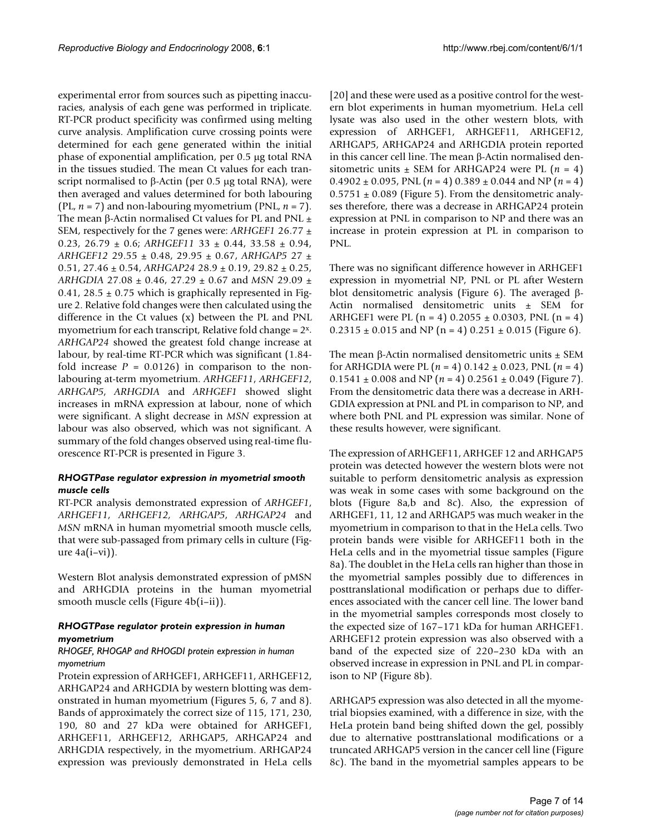experimental error from sources such as pipetting inaccuracies, analysis of each gene was performed in triplicate. RT-PCR product specificity was confirmed using melting curve analysis. Amplification curve crossing points were determined for each gene generated within the initial phase of exponential amplification, per 0.5 μg total RNA in the tissues studied. The mean Ct values for each transcript normalised to β-Actin (per 0.5 μg total RNA), were then averaged and values determined for both labouring (PL,  $n = 7$ ) and non-labouring myometrium (PNL,  $n = 7$ ). The mean β-Actin normalised Ct values for PL and PNL  $±$ SEM, respectively for the 7 genes were: *ARHGEF1* 26.77 ± 0.23, 26.79 ± 0.6; *ARHGEF11* 33 ± 0.44, 33.58 ± 0.94, *ARHGEF12* 29.55 ± 0.48, 29.95 ± 0.67, *ARHGAP5* 27 ± 0.51, 27.46 ± 0.54, *ARHGAP24* 28.9 ± 0.19, 29.82 ± 0.25, *ARHGDIA* 27.08 ± 0.46, 27.29 ± 0.67 and *MSN* 29.09 ± 0.41, 28.5  $\pm$  0.75 which is graphically represented in Figure 2. Relative fold changes were then calculated using the difference in the Ct values (x) between the PL and PNL myometrium for each transcript, Relative fold change =  $2^x$ . *ARHGAP24* showed the greatest fold change increase at labour, by real-time RT-PCR which was significant (1.84 fold increase  $P = 0.0126$ ) in comparison to the nonlabouring at-term myometrium. *ARHGEF11*, *ARHGEF12*, *ARHGAP5*, *ARHGDIA* and *ARHGEF1* showed slight increases in mRNA expression at labour, none of which were significant. A slight decrease in *MSN* expression at labour was also observed, which was not significant. A summary of the fold changes observed using real-time fluorescence RT-PCR is presented in Figure 3.

# *RHOGTPase regulator expression in myometrial smooth muscle cells*

RT-PCR analysis demonstrated expression of *ARHGEF1*, *ARHGEF11*, *ARHGEF12, ARHGAP5*, *ARHGAP24* and *MSN* mRNA in human myometrial smooth muscle cells, that were sub-passaged from primary cells in culture (Figure  $4a(i-vi)$ ).

Western Blot analysis demonstrated expression of pMSN and ARHGDIA proteins in the human myometrial smooth muscle cells (Figure 4b(i–ii)).

# *RHOGTPase regulator protein expression in human myometrium*

## *RHOGEF, RHOGAP and RHOGDI protein expression in human myometrium*

Protein expression of ARHGEF1, ARHGEF11, ARHGEF12, ARHGAP24 and ARHGDIA by western blotting was demonstrated in human myometrium (Figures 5, 6, 7 and 8). Bands of approximately the correct size of 115, 171, 230, 190, 80 and 27 kDa were obtained for ARHGEF1, ARHGEF11, ARHGEF12, ARHGAP5, ARHGAP24 and ARHGDIA respectively, in the myometrium. ARHGAP24 expression was previously demonstrated in HeLa cells [20] and these were used as a positive control for the western blot experiments in human myometrium. HeLa cell lysate was also used in the other western blots, with expression of ARHGEF1, ARHGEF11, ARHGEF12, ARHGAP5, ARHGAP24 and ARHGDIA protein reported in this cancer cell line. The mean β-Actin normalised densitometric units  $\pm$  SEM for ARHGAP24 were PL ( $n = 4$ )  $0.4902 \pm 0.095$ , PNL ( $n = 4$ )  $0.389 \pm 0.044$  and NP ( $n = 4$ )  $0.5751 \pm 0.089$  (Figure 5). From the densitometric analyses therefore, there was a decrease in ARHGAP24 protein expression at PNL in comparison to NP and there was an increase in protein expression at PL in comparison to PNL.

There was no significant difference however in ARHGEF1 expression in myometrial NP, PNL or PL after Western blot densitometric analysis (Figure 6). The averaged β-Actin normalised densitometric units ± SEM for ARHGEF1 were PL  $(n = 4)$  0.2055  $\pm$  0.0303, PNL  $(n = 4)$  $0.2315 \pm 0.015$  and NP (n = 4)  $0.251 \pm 0.015$  (Figure 6).

The mean β-Actin normalised densitometric units  $±$  SEM for ARHGDIA were PL  $(n = 4)$  0.142  $\pm$  0.023, PNL  $(n = 4)$  $0.1541 \pm 0.008$  and NP ( $n = 4$ )  $0.2561 \pm 0.049$  (Figure 7). From the densitometric data there was a decrease in ARH-GDIA expression at PNL and PL in comparison to NP, and where both PNL and PL expression was similar. None of these results however, were significant.

The expression of ARHGEF11, ARHGEF 12 and ARHGAP5 protein was detected however the western blots were not suitable to perform densitometric analysis as expression was weak in some cases with some background on the blots (Figure 8a,b and 8c). Also, the expression of ARHGEF1, 11, 12 and ARHGAP5 was much weaker in the myometrium in comparison to that in the HeLa cells. Two protein bands were visible for ARHGEF11 both in the HeLa cells and in the myometrial tissue samples (Figure 8a). The doublet in the HeLa cells ran higher than those in the myometrial samples possibly due to differences in posttranslational modification or perhaps due to differences associated with the cancer cell line. The lower band in the myometrial samples corresponds most closely to the expected size of 167–171 kDa for human ARHGEF1. ARHGEF12 protein expression was also observed with a band of the expected size of 220–230 kDa with an observed increase in expression in PNL and PL in comparison to NP (Figure 8b).

ARHGAP5 expression was also detected in all the myometrial biopsies examined, with a difference in size, with the HeLa protein band being shifted down the gel, possibly due to alternative posttranslational modifications or a truncated ARHGAP5 version in the cancer cell line (Figure 8c). The band in the myometrial samples appears to be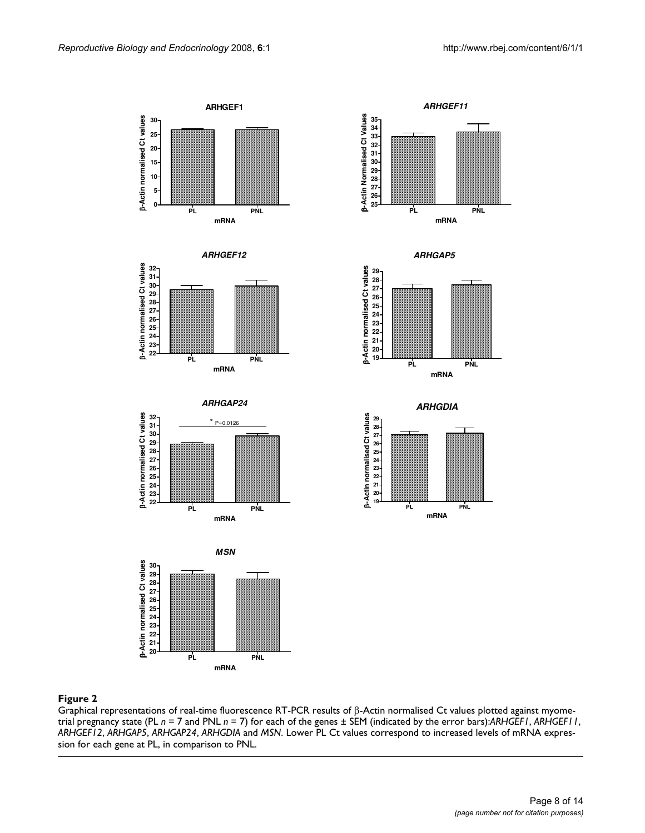



 









*ARHGAP5*





#### Figure 2 and 2008 and 2008 and 2008 and 2008 and 2008 and 2008 and 2008 and 2008 and 2008 and 2008 and 2008 an

Graphical representations of real-time fluorescence RT-PCR results of β-Actin normalised Ct values plotted against myometrial pregnancy state (PL *n* = 7 and PNL *n* = 7) for each of the genes ± SEM (indicated by the error bars):*ARHGEF1*, *ARHGEF11*, *ARHGEF12*, *ARHGAP5*, *ARHGAP24*, *ARHGDIA* and *MSN*. Lower PL Ct values correspond to increased levels of mRNA expression for each gene at PL, in comparison to PNL.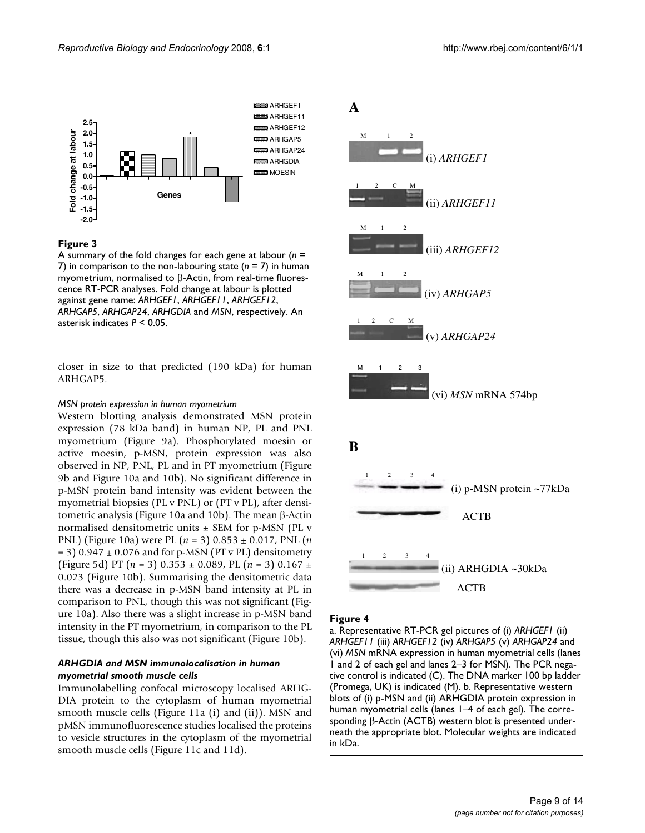



A summary of the fold changes for each gene at labour (*n* = 7) in comparison to the non-labouring state (*n* = 7) in human myometrium, normalised to β-Actin, from real-time fluorescence RT-PCR analyses. Fold change at labour is plotted against gene name: *ARHGEF1*, *ARHGEF11*, *ARHGEF12*, *ARHGAP5*, *ARHGAP24*, *ARHGDIA* and *MSN*, respectively. An asterisk indicates *P* < 0.05.

closer in size to that predicted (190 kDa) for human ARHGAP5.

#### *MSN protein expression in human myometrium*

Western blotting analysis demonstrated MSN protein expression (78 kDa band) in human NP, PL and PNL myometrium (Figure 9a). Phosphorylated moesin or active moesin, p-MSN, protein expression was also observed in NP, PNL, PL and in PT myometrium (Figure 9b and Figure 10a and 10b). No significant difference in p-MSN protein band intensity was evident between the myometrial biopsies (PL v PNL) or (PT v PL), after densitometric analysis (Figure 10a and 10b). The mean β-Actin normalised densitometric units ± SEM for p-MSN (PL v PNL) (Figure 10a) were PL (*n* = 3) 0.853 ± 0.017, PNL (*n*  $= 3$ ) 0.947  $\pm$  0.076 and for p-MSN (PT v PL) densitometry (Figure 5d) PT (*n* = 3) 0.353 ± 0.089, PL (*n* = 3) 0.167 ± 0.023 (Figure 10b). Summarising the densitometric data there was a decrease in p-MSN band intensity at PL in comparison to PNL, though this was not significant (Figure 10a). Also there was a slight increase in p-MSN band intensity in the PT myometrium, in comparison to the PL tissue, though this also was not significant (Figure 10b).

## *ARHGDIA and MSN immunolocalisation in human myometrial smooth muscle cells*

Immunolabelling confocal microscopy localised ARHG-DIA protein to the cytoplasm of human myometrial smooth muscle cells (Figure 11a (i) and (ii)). MSN and pMSN immunofluorescence studies localised the proteins to vesicle structures in the cytoplasm of the myometrial smooth muscle cells (Figure 11c and 11d).



#### Figure 4

a. Representative RT-PCR gel pictures of (i) *ARHGEF1* (ii) *ARHGEF11* (iii) *ARHGEF12* (iv) *ARHGAP5* (v) *ARHGAP24* and (vi) *MSN* mRNA expression in human myometrial cells (lanes 1 and 2 of each gel and lanes 2–3 for MSN). The PCR negative control is indicated (C). The DNA marker 100 bp ladder (Promega, UK) is indicated (M). b. Representative western blots of (i) p-MSN and (ii) ARHGDIA protein expression in human myometrial cells (lanes 1–4 of each gel). The corresponding β-Actin (ACTB) western blot is presented underneath the appropriate blot. Molecular weights are indicated in kDa.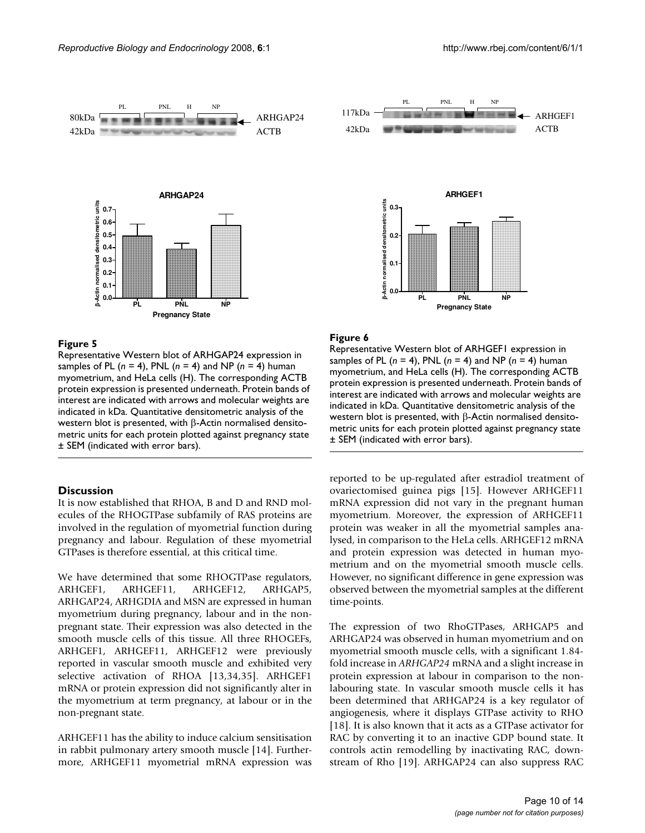

Representative Western blot of ARHGAP24 expression in samples of PL (*n* = 4), PNL (*n* = 4) and NP (*n* = 4) human myometrium, and HeLa cells (H). The corresponding ACTB protein expression is presented underneath. Protein bands of interest are indicated with arrows and molecular weights are indicated in kDa. Quantitative densitometric analysis of the western blot is presented, with β-Actin normalised densitometric units for each protein plotted against pregnancy state ± SEM (indicated with error bars).

# **Discussion**

It is now established that RHOA, B and D and RND molecules of the RHOGTPase subfamily of RAS proteins are involved in the regulation of myometrial function during pregnancy and labour. Regulation of these myometrial GTPases is therefore essential, at this critical time.

We have determined that some RHOGTPase regulators, ARHGEF1, ARHGEF11, ARHGEF12, ARHGAP5, ARHGAP24, ARHGDIA and MSN are expressed in human myometrium during pregnancy, labour and in the nonpregnant state. Their expression was also detected in the smooth muscle cells of this tissue. All three RHOGEFs, ARHGEF1, ARHGEF11, ARHGEF12 were previously reported in vascular smooth muscle and exhibited very selective activation of RHOA [13,34,35]. ARHGEF1 mRNA or protein expression did not significantly alter in the myometrium at term pregnancy, at labour or in the non-pregnant state.

ARHGEF11 has the ability to induce calcium sensitisation in rabbit pulmonary artery smooth muscle [14]. Furthermore, ARHGEF11 myometrial mRNA expression was



#### Figure 6

Representative Western blot of ARHGEF1 expression in samples of PL (*n* = 4), PNL (*n* = 4) and NP (*n* = 4) human myometrium, and HeLa cells (H). The corresponding ACTB protein expression is presented underneath. Protein bands of interest are indicated with arrows and molecular weights are indicated in kDa. Quantitative densitometric analysis of the western blot is presented, with β-Actin normalised densitometric units for each protein plotted against pregnancy state ± SEM (indicated with error bars).

reported to be up-regulated after estradiol treatment of ovariectomised guinea pigs [15]. However ARHGEF11 mRNA expression did not vary in the pregnant human myometrium. Moreover, the expression of ARHGEF11 protein was weaker in all the myometrial samples analysed, in comparison to the HeLa cells. ARHGEF12 mRNA and protein expression was detected in human myometrium and on the myometrial smooth muscle cells. However, no significant difference in gene expression was observed between the myometrial samples at the different time-points.

The expression of two RhoGTPases, ARHGAP5 and ARHGAP24 was observed in human myometrium and on myometrial smooth muscle cells, with a significant 1.84 fold increase in *ARHGAP24* mRNA and a slight increase in protein expression at labour in comparison to the nonlabouring state. In vascular smooth muscle cells it has been determined that ARHGAP24 is a key regulator of angiogenesis, where it displays GTPase activity to RHO [18]. It is also known that it acts as a GTPase activator for RAC by converting it to an inactive GDP bound state. It controls actin remodelling by inactivating RAC, downstream of Rho [19]. ARHGAP24 can also suppress RAC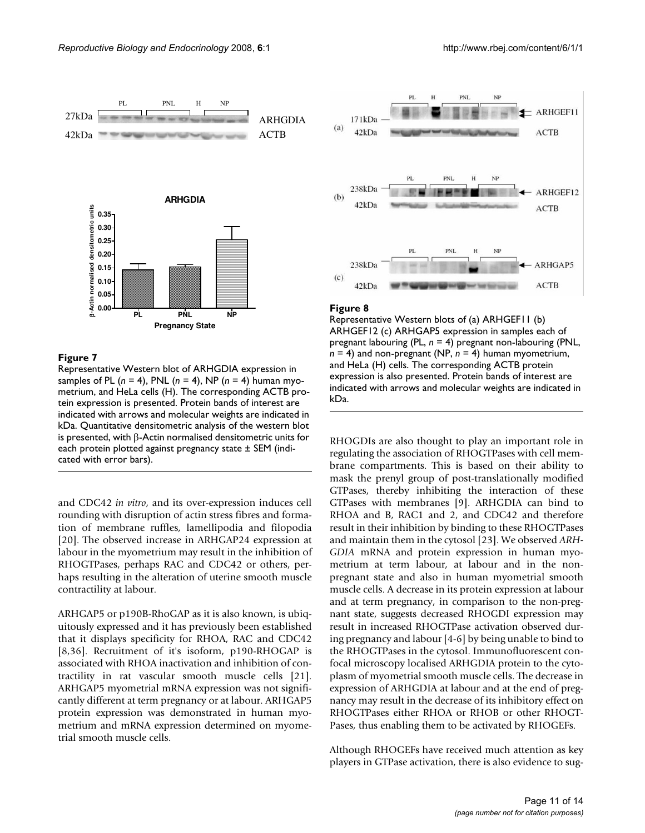

Representative Western blot of ARHGDIA expression in samples of PL (*n* = 4), PNL (*n* = 4), NP (*n* = 4) human myometrium, and HeLa cells (H). The corresponding ACTB protein expression is presented. Protein bands of interest are indicated with arrows and molecular weights are indicated in kDa. Quantitative densitometric analysis of the western blot is presented, with β-Actin normalised densitometric units for each protein plotted against pregnancy state ± SEM (indicated with error bars).

and CDC42 *in vitro*, and its over-expression induces cell rounding with disruption of actin stress fibres and formation of membrane ruffles, lamellipodia and filopodia [20]. The observed increase in ARHGAP24 expression at labour in the myometrium may result in the inhibition of RHOGTPases, perhaps RAC and CDC42 or others, perhaps resulting in the alteration of uterine smooth muscle contractility at labour.

ARHGAP5 or p190B-RhoGAP as it is also known, is ubiquitously expressed and it has previously been established that it displays specificity for RHOA, RAC and CDC42 [8,36]. Recruitment of it's isoform, p190-RHOGAP is associated with RHOA inactivation and inhibition of contractility in rat vascular smooth muscle cells [21]. ARHGAP5 myometrial mRNA expression was not significantly different at term pregnancy or at labour. ARHGAP5 protein expression was demonstrated in human myometrium and mRNA expression determined on myometrial smooth muscle cells.



#### Figure 8

Representative Western blots of (a) ARHGEF11 (b) ARHGEF12 (c) ARHGAP5 expression in samples each of pregnant labouring (PL, *n* = 4) pregnant non-labouring (PNL, *n* = 4) and non-pregnant (NP, *n* = 4) human myometrium, and HeLa (H) cells. The corresponding ACTB protein expression is also presented. Protein bands of interest are indicated with arrows and molecular weights are indicated in kDa.

RHOGDIs are also thought to play an important role in regulating the association of RHOGTPases with cell membrane compartments. This is based on their ability to mask the prenyl group of post-translationally modified GTPases, thereby inhibiting the interaction of these GTPases with membranes [9]. ARHGDIA can bind to RHOA and B, RAC1 and 2, and CDC42 and therefore result in their inhibition by binding to these RHOGTPases and maintain them in the cytosol [23]. We observed *ARH-GDIA* mRNA and protein expression in human myometrium at term labour, at labour and in the nonpregnant state and also in human myometrial smooth muscle cells. A decrease in its protein expression at labour and at term pregnancy, in comparison to the non-pregnant state, suggests decreased RHOGDI expression may result in increased RHOGTPase activation observed during pregnancy and labour [4-6] by being unable to bind to the RHOGTPases in the cytosol. Immunofluorescent confocal microscopy localised ARHGDIA protein to the cytoplasm of myometrial smooth muscle cells. The decrease in expression of ARHGDIA at labour and at the end of pregnancy may result in the decrease of its inhibitory effect on RHOGTPases either RHOA or RHOB or other RHOGT-Pases, thus enabling them to be activated by RHOGEFs.

Although RHOGEFs have received much attention as key players in GTPase activation, there is also evidence to sug-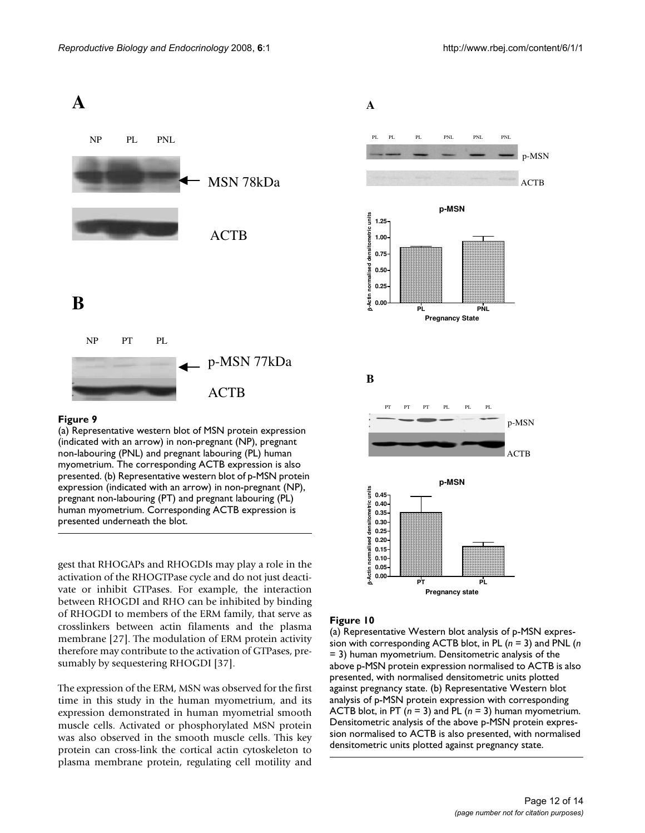

(a) Representative western blot of MSN protein expression (indicated with an arrow) in non-pregnant (NP), pregnant non-labouring (PNL) and pregnant labouring (PL) human myometrium. The corresponding ACTB expression is also presented. (b) Representative western blot of p-MSN protein expression (indicated with an arrow) in non-pregnant (NP), pregnant non-labouring (PT) and pregnant labouring (PL) human myometrium. Corresponding ACTB expression is presented underneath the blot.

gest that RHOGAPs and RHOGDIs may play a role in the activation of the RHOGTPase cycle and do not just deactivate or inhibit GTPases. For example, the interaction between RHOGDI and RHO can be inhibited by binding of RHOGDI to members of the ERM family, that serve as crosslinkers between actin filaments and the plasma membrane [27]. The modulation of ERM protein activity therefore may contribute to the activation of GTPases, presumably by sequestering RHOGDI [37].

The expression of the ERM, MSN was observed for the first time in this study in the human myometrium, and its expression demonstrated in human myometrial smooth muscle cells. Activated or phosphorylated MSN protein was also observed in the smooth muscle cells. This key protein can cross-link the cortical actin cytoskeleton to plasma membrane protein, regulating cell motility and



#### Figure 10

(a) Representative Western blot analysis of p-MSN expression with corresponding ACTB blot, in PL (*n* = 3) and PNL (*n*  = 3) human myometrium. Densitometric analysis of the above p-MSN protein expression normalised to ACTB is also presented, with normalised densitometric units plotted against pregnancy state. (b) Representative Western blot analysis of p-MSN protein expression with corresponding ACTB blot, in PT (*n* = 3) and PL (*n* = 3) human myometrium. Densitometric analysis of the above p-MSN protein expression normalised to ACTB is also presented, with normalised densitometric units plotted against pregnancy state.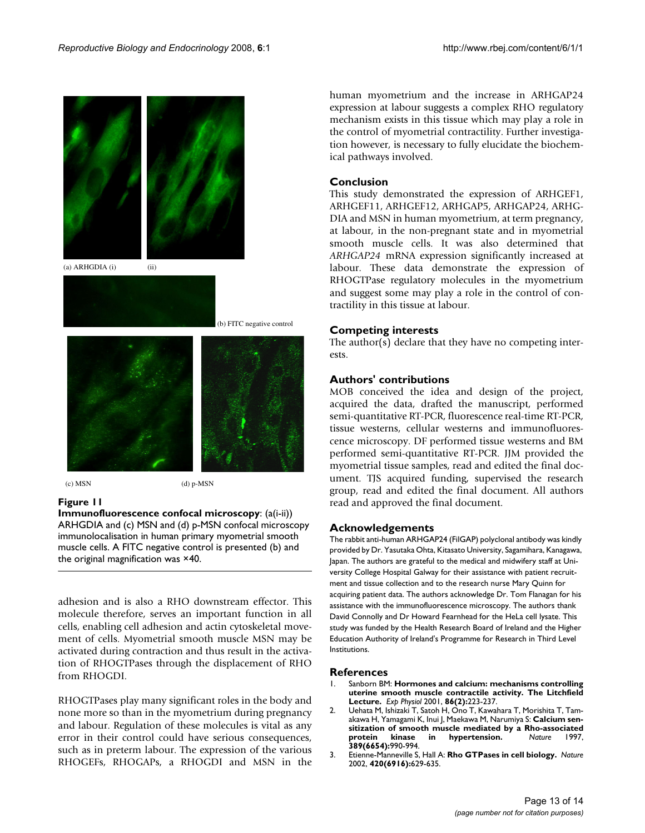

 $\alpha$  (d) p-MSN (d) p-MSN

## **Figure 11**

**Immunofluorescence confocal microscopy**: (a(i-ii)) ARHGDIA and (c) MSN and (d) p-MSN confocal microscopy immunolocalisation in human primary myometrial smooth muscle cells. A FITC negative control is presented (b) and the original magnification was ×40.

adhesion and is also a RHO downstream effector. This molecule therefore, serves an important function in all cells, enabling cell adhesion and actin cytoskeletal movement of cells. Myometrial smooth muscle MSN may be activated during contraction and thus result in the activation of RHOGTPases through the displacement of RHO from RHOGDI.

RHOGTPases play many significant roles in the body and none more so than in the myometrium during pregnancy and labour. Regulation of these molecules is vital as any error in their control could have serious consequences, such as in preterm labour. The expression of the various RHOGEFs, RHOGAPs, a RHOGDI and MSN in the human myometrium and the increase in ARHGAP24 expression at labour suggests a complex RHO regulatory mechanism exists in this tissue which may play a role in the control of myometrial contractility. Further investigation however, is necessary to fully elucidate the biochemical pathways involved.

# **Conclusion**

This study demonstrated the expression of ARHGEF1, ARHGEF11, ARHGEF12, ARHGAP5, ARHGAP24, ARHG-DIA and MSN in human myometrium, at term pregnancy, at labour, in the non-pregnant state and in myometrial smooth muscle cells. It was also determined that *ARHGAP24* mRNA expression significantly increased at labour. These data demonstrate the expression of RHOGTPase regulatory molecules in the myometrium and suggest some may play a role in the control of contractility in this tissue at labour.

# **Competing interests**

The author(s) declare that they have no competing interests.

# **Authors' contributions**

MOB conceived the idea and design of the project, acquired the data, drafted the manuscript, performed semi-quantitative RT-PCR, fluorescence real-time RT-PCR, tissue westerns, cellular westerns and immunofluorescence microscopy. DF performed tissue westerns and BM performed semi-quantitative RT-PCR. JJM provided the myometrial tissue samples, read and edited the final document. TJS acquired funding, supervised the research group, read and edited the final document. All authors read and approved the final document.

## **Acknowledgements**

The rabbit anti-human ARHGAP24 (FilGAP) polyclonal antibody was kindly provided by Dr. Yasutaka Ohta, Kitasato University, Sagamihara, Kanagawa, Japan. The authors are grateful to the medical and midwifery staff at University College Hospital Galway for their assistance with patient recruitment and tissue collection and to the research nurse Mary Quinn for acquiring patient data. The authors acknowledge Dr. Tom Flanagan for his assistance with the immunofluorescence microscopy. The authors thank David Connolly and Dr Howard Fearnhead for the HeLa cell lysate. This study was funded by the Health Research Board of Ireland and the Higher Education Authority of Ireland's Programme for Research in Third Level Institutions.

## **References**

- 1. Sanborn BM: **[Hormones and calcium: mechanisms controlling](http://www.ncbi.nlm.nih.gov/entrez/query.fcgi?cmd=Retrieve&db=PubMed&dopt=Abstract&list_uids=11429639) [uterine smooth muscle contractile activity. The Litchfield](http://www.ncbi.nlm.nih.gov/entrez/query.fcgi?cmd=Retrieve&db=PubMed&dopt=Abstract&list_uids=11429639) [Lecture.](http://www.ncbi.nlm.nih.gov/entrez/query.fcgi?cmd=Retrieve&db=PubMed&dopt=Abstract&list_uids=11429639)** *Exp Physiol* 2001, **86(2):**223-237.
- 2. Uehata M, Ishizaki T, Satoh H, Ono T, Kawahara T, Morishita T, Tamakawa H, Yamagami K, Inui J, Maekawa M, Narumiya S: **[Calcium sen](http://www.ncbi.nlm.nih.gov/entrez/query.fcgi?cmd=Retrieve&db=PubMed&dopt=Abstract&list_uids=9353125)[sitization of smooth muscle mediated by a Rho-associated](http://www.ncbi.nlm.nih.gov/entrez/query.fcgi?cmd=Retrieve&db=PubMed&dopt=Abstract&list_uids=9353125)**  $h$ ypertension. **389(6654):**990-994.
- 3. Etienne-Manneville S, Hall A: **[Rho GTPases in cell biology.](http://www.ncbi.nlm.nih.gov/entrez/query.fcgi?cmd=Retrieve&db=PubMed&dopt=Abstract&list_uids=12478284)** *Nature* 2002, **420(6916):**629-635.